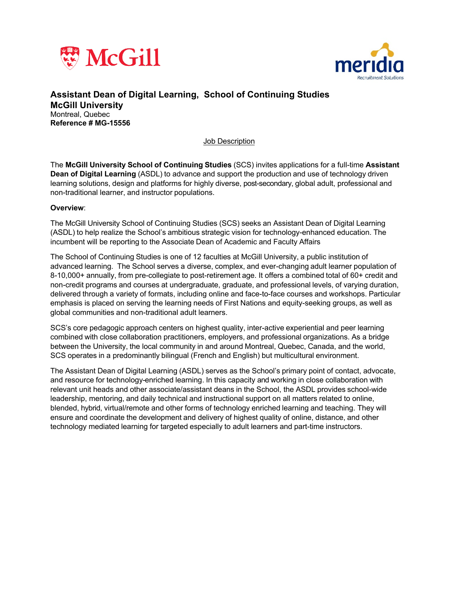



**Assistant Dean of Digital Learning, School of Continuing Studies McGill University**  Montreal, Quebec **Reference # MG-15556**

Job Description

The **McGill University School of Continuing Studies** (SCS) invites applications for a full-time **Assistant Dean of Digital Learning** (ASDL) to advance and support the production and use of technology driven learning solutions, design and platforms for highly diverse, post-secondary, global adult, professional and non-traditional learner, and instructor populations.

#### **Overview**:

The McGill University School of Continuing Studies (SCS) seeks an Assistant Dean of Digital Learning (ASDL) to help realize the School's ambitious strategic vision for technology-enhanced education. The incumbent will be reporting to the Associate Dean of Academic and Faculty Affairs

The School of Continuing Studies is one of 12 faculties at McGill University, a public institution of advanced learning. The School serves a diverse, complex, and ever-changing adult learner population of 8-10,000+ annually, from pre-collegiate to post-retirement age. It offers a combined total of 60+ credit and non-credit programs and courses at undergraduate, graduate, and professional levels, of varying duration, delivered through a variety of formats, including online and face-to-face courses and workshops. Particular emphasis is placed on serving the learning needs of First Nations and equity-seeking groups, as well as global communities and non-traditional adult learners.

SCS's core pedagogic approach centers on highest quality, inter-active experiential and peer learning combined with close collaboration practitioners, employers, and professional organizations. As a bridge between the University, the local community in and around Montreal, Quebec, Canada, and the world, SCS operates in a predominantly bilingual (French and English) but multicultural environment.

The Assistant Dean of Digital Learning (ASDL) serves as the School's primary point of contact, advocate, and resource for technology-enriched learning. In this capacity and working in close collaboration with relevant unit heads and other associate/assistant deans in the School, the ASDL provides school-wide leadership, mentoring, and daily technical and instructional support on all matters related to online, blended, hybrid, virtual/remote and other forms of technology enriched learning and teaching. They will ensure and coordinate the development and delivery of highest quality of online, distance, and other technology mediated learning for targeted especially to adult learners and part-time instructors.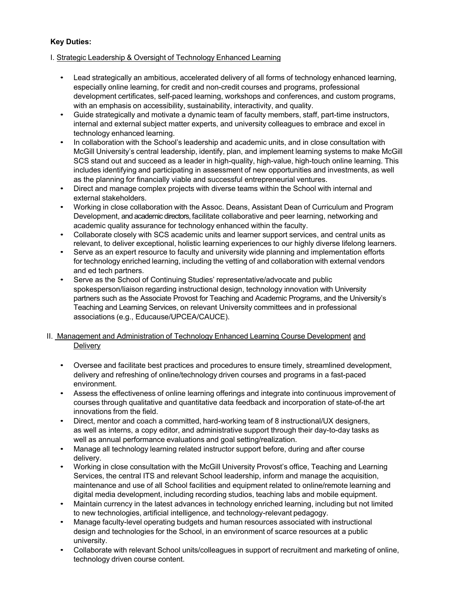# **Key Duties:**

## I. Strategic Leadership & Oversight of Technology Enhanced Learning

- Lead strategically an ambitious, accelerated delivery of all forms of technology enhanced learning, especially online learning, for credit and non-credit courses and programs, professional development certificates, self-paced learning, workshops and conferences, and custom programs, with an emphasis on accessibility, sustainability, interactivity, and quality.
- Guide strategically and motivate a dynamic team of faculty members, staff, part-time instructors, internal and external subject matter experts, and university colleagues to embrace and excel in technology enhanced learning.
- In collaboration with the School's leadership and academic units, and in close consultation with McGill University's central leadership, identify, plan, and implement learning systems to make McGill SCS stand out and succeed as a leader in high-quality, high-value, high-touch online learning. This includes identifying and participating in assessment of new opportunities and investments, as well as the planning for financially viable and successful entrepreneurial ventures.
- Direct and manage complex projects with diverse teams within the School with internal and external stakeholders.
- Working in close collaboration with the Assoc. Deans, Assistant Dean of Curriculum and Program Development, and academic directors, facilitate collaborative and peer learning, networking and academic quality assurance for technology enhanced within the faculty.
- Collaborate closely with SCS academic units and learner support services, and central units as relevant, to deliver exceptional, holistic learning experiences to our highly diverse lifelong learners.
- Serve as an expert resource to faculty and university wide planning and implementation efforts for technology enriched learning, including the vetting of and collaboration with external vendors and ed tech partners.
- Serve as the School of Continuing Studies' representative/advocate and public spokesperson/liaison regarding instructional design, technology innovation with University partners such as the Associate Provost for Teaching and Academic Programs, and the University's Teaching and Learning Services, on relevant University committees and in professional associations (e.g., Educause/UPCEA/CAUCE).

## II. Management and Administration of Technology Enhanced Learning Course Development and **Delivery**

- Oversee and facilitate best practices and procedures to ensure timely, streamlined development, delivery and refreshing of online/technology driven courses and programs in a fast-paced environment.
- Assess the effectiveness of online learning offerings and integrate into continuous improvement of courses through qualitative and quantitative data feedback and incorporation of state-of-the art innovations from the field.
- Direct, mentor and coach a committed, hard-working team of 8 instructional/UX designers, as well as interns, a copy editor, and administrative support through their day-to-day tasks as well as annual performance evaluations and goal setting/realization.
- Manage all technology learning related instructor support before, during and after course delivery.
- Working in close consultation with the McGill University Provost's office, Teaching and Learning Services, the central ITS and relevant School leadership, inform and manage the acquisition, maintenance and use of all School facilities and equipment related to online/remote learning and digital media development, including recording studios, teaching labs and mobile equipment.
- Maintain currency in the latest advances in technology enriched learning, including but not limited to new technologies, artificial intelligence, and technology-relevant pedagogy.
- Manage faculty-level operating budgets and human resources associated with instructional design and technologies for the School, in an environment of scarce resources at a public university.
- Collaborate with relevant School units/colleagues in support of recruitment and marketing of online, technology driven course content.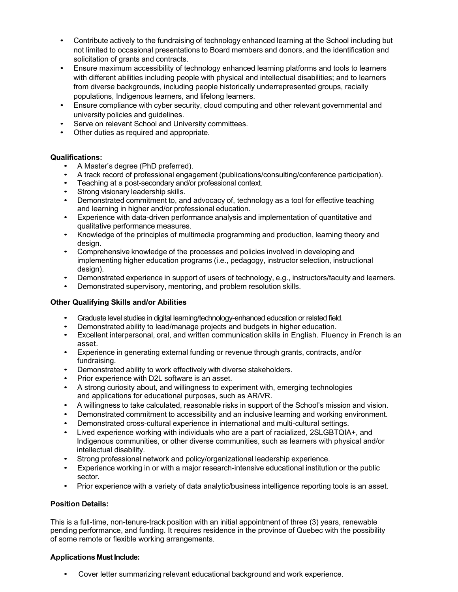- Contribute actively to the fundraising of technology enhanced learning at the School including but not limited to occasional presentations to Board members and donors, and the identification and solicitation of grants and contracts.
- Ensure maximum accessibility of technology enhanced learning platforms and tools to learners with different abilities including people with physical and intellectual disabilities; and to learners from diverse backgrounds, including people historically underrepresented groups, racially populations, Indigenous learners, and lifelong learners.
- Ensure compliance with cyber security, cloud computing and other relevant governmental and university policies and guidelines.
- Serve on relevant School and University committees.
- Other duties as required and appropriate.

## **Qualifications:**

- A Master's degree (PhD preferred).
- A track record of professional engagement (publications/consulting/conference participation).
- Teaching at a post-secondary and/or professional context.
- Strong visionary leadership skills.
- Demonstrated commitment to, and advocacy of, technology as a tool for effective teaching and learning in higher and/or professional education.
- Experience with data-driven performance analysis and implementation of quantitative and qualitative performance measures.
- Knowledge of the principles of multimedia programming and production, learning theory and design.
- Comprehensive knowledge of the processes and policies involved in developing and implementing higher education programs (i.e., pedagogy, instructor selection, instructional design).
- Demonstrated experience in support of users of technology, e.g., instructors/faculty and learners.
- Demonstrated supervisory, mentoring, and problem resolution skills.

#### **Other Qualifying Skills and/or Abilities**

- Graduate level studies in digital learning/technology-enhanced education or related field.
- Demonstrated ability to lead/manage projects and budgets in higher education.
- Excellent interpersonal, oral, and written communication skills in English. Fluency in French is an asset.
- Experience in generating external funding or revenue through grants, contracts, and/or fundraising.
- Demonstrated ability to work effectively with diverse stakeholders.
- Prior experience with D2L software is an asset.
- A strong curiosity about, and willingness to experiment with, emerging technologies and applications for educational purposes, such as AR/VR.
- A willingness to take calculated, reasonable risks in support of the School's mission and vision.
- Demonstrated commitment to accessibility and an inclusive learning and working environment.
- Demonstrated cross-cultural experience in international and multi-cultural settings.
- Lived experience working with individuals who are a part of racialized, 2SLGBTQIA+, and Indigenous communities, or other diverse communities, such as learners with physical and/or intellectual disability.
- Strong professional network and policy/organizational leadership experience.
- Experience working in or with a major research-intensive educational institution or the public sector.
- Prior experience with a variety of data analytic/business intelligence reporting tools is an asset.

#### **Position Details:**

This is a full-time, non-tenure-track position with an initial appointment of three (3) years, renewable pending performance, and funding. It requires residence in the province of Quebec with the possibility of some remote or flexible working arrangements.

#### **Applications Must Include:**

• Cover letter summarizing relevant educational background and work experience.